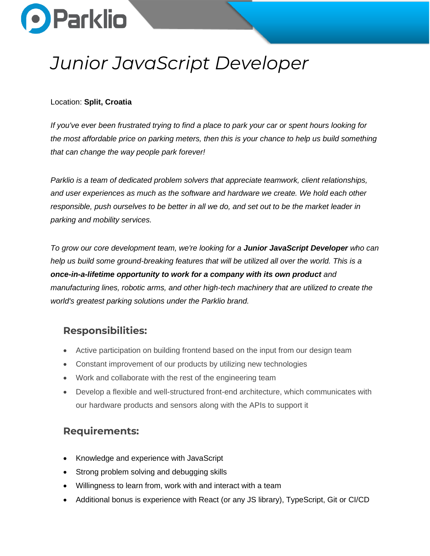

# *Junior JavaScript Developer*

#### Location: **Split, Croatia**

*If you've ever been frustrated trying to find a place to park your car or spent hours looking for the most affordable price on parking meters, then this is your chance to help us build something that can change the way people park forever!*

*Parklio is a team of dedicated problem solvers that appreciate teamwork, client relationships, and user experiences as much as the software and hardware we create. We hold each other responsible, push ourselves to be better in all we do, and set out to be the market leader in parking and mobility services.*

*To grow our core development team, we're looking for a Junior JavaScript Developer who can help us build some ground-breaking features that will be utilized all over the world. This is a*  **once-in-a-lifetime opportunity to work for a company with its own product** and *manufacturing lines, robotic arms, and other high-tech machinery that are utilized to create the world's greatest parking solutions under the Parklio brand.*

#### **Responsibilities:**

- Active participation on building frontend based on the input from our design team
- Constant improvement of our products by utilizing new technologies
- Work and collaborate with the rest of the engineering team
- Develop a flexible and well-structured front-end architecture, which communicates with our hardware products and sensors along with the APIs to support it

### **Requirements:**

- Knowledge and experience with JavaScript
- Strong problem solving and debugging skills
- Willingness to learn from, work with and interact with a team
- Additional bonus is experience with React (or any JS library), TypeScript, Git or CI/CD